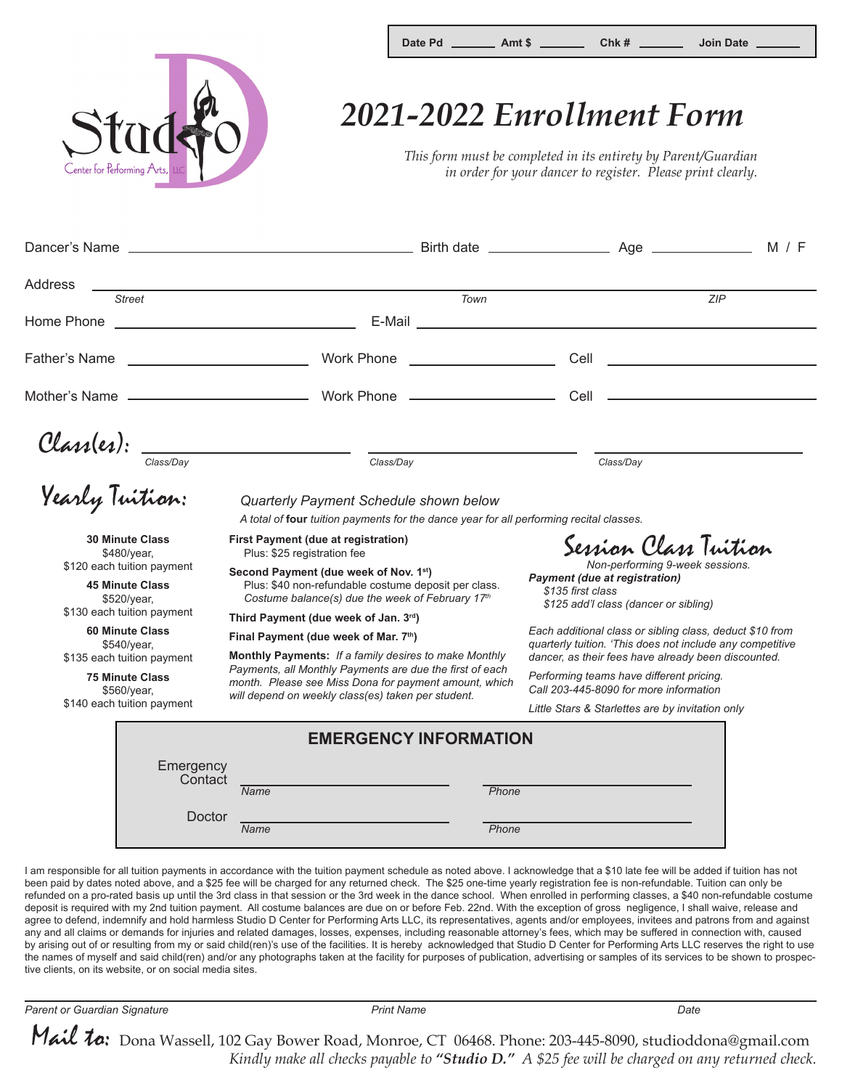

## Date Pd **\_\_\_\_\_\_\_\_** Amt \$ \_\_\_\_\_\_\_\_\_ Chk # \_\_\_\_\_\_\_ Join Date

## *2021-2022 Enrollment Form*

*This form must be completed in its entirety by Parent/Guardian in order for your dancer to register. Please print clearly.*

|                                                                     |                                                                                                                                                                                                                      | M / F                                                                                                                                                                        |
|---------------------------------------------------------------------|----------------------------------------------------------------------------------------------------------------------------------------------------------------------------------------------------------------------|------------------------------------------------------------------------------------------------------------------------------------------------------------------------------|
| Address<br><b>Street</b>                                            | <u> 1989 - Johann Stoff, amerikansk politiker (* 1908)</u><br>Town                                                                                                                                                   | ZIP                                                                                                                                                                          |
|                                                                     |                                                                                                                                                                                                                      | E-Mail <b>E-Mail E-Mail E-Mail E-Mail E-Mail E-Mail <b>E-Mail E-Mail E-Mail</b></b>                                                                                          |
|                                                                     |                                                                                                                                                                                                                      |                                                                                                                                                                              |
|                                                                     |                                                                                                                                                                                                                      |                                                                                                                                                                              |
|                                                                     |                                                                                                                                                                                                                      |                                                                                                                                                                              |
|                                                                     |                                                                                                                                                                                                                      | Class/Day                                                                                                                                                                    |
|                                                                     | Class(es): $\frac{1}{\frac{1}{\text{Class/Day}}}}$ $\frac{1}{\text{Class/Day}}$<br>Quarterly Payment Schedule shown below<br>A total of four tuition payments for the dance year for all performing recital classes. |                                                                                                                                                                              |
| <b>30 Minute Class</b><br>\$480/year,<br>\$120 each tuition payment | First Payment (due at registration)<br>Plus: \$25 registration fee<br>Second Payment (due week of Nov. 1st)                                                                                                          | Session Class Tuition<br>Non-performing 9-week sessions.<br><b>Payment (due at registration)</b>                                                                             |
| <b>45 Minute Class</b><br>\$520/year,<br>\$130 each tuition payment | Plus: \$40 non-refundable costume deposit per class.<br>\$135 first class<br>Costume balance(s) due the week of February 17th<br>Third Payment (due week of Jan. 3rd)                                                | \$125 add'l class (dancer or sibling)                                                                                                                                        |
| <b>60 Minute Class</b><br>\$540/year,                               | Final Payment (due week of Mar. 7th)                                                                                                                                                                                 | Each additional class or sibling class, deduct \$10 from<br>quarterly tuition. 'This does not include any competitive<br>dancer, as their fees have already been discounted. |
| \$135 each tuition payment                                          | Monthly Payments: If a family desires to make Monthly<br>Payments, all Monthly Payments are due the first of each                                                                                                    |                                                                                                                                                                              |
| <b>75 Minute Class</b><br>\$560/year,                               | month. Please see Miss Dona for payment amount, which<br>will depend on weekly class(es) taken per student.                                                                                                          | Performing teams have different pricing.<br>Call 203-445-8090 for more information                                                                                           |
| \$140 each tuition payment                                          |                                                                                                                                                                                                                      | Little Stars & Starlettes are by invitation only                                                                                                                             |
|                                                                     | <b>EMERGENCY INFORMATION</b>                                                                                                                                                                                         |                                                                                                                                                                              |
| Emergency<br>Contact                                                | Name<br>Phone                                                                                                                                                                                                        |                                                                                                                                                                              |

Doctor

*Name Phone*

I am responsible for all tuition payments in accordance with the tuition payment schedule as noted above. I acknowledge that a \$10 late fee will be added if tuition has not been paid by dates noted above, and a \$25 fee will be charged for any returned check. The \$25 one-time yearly registration fee is non-refundable. Tuition can only be refunded on a pro-rated basis up until the 3rd class in that session or the 3rd week in the dance school. When enrolled in performing classes, a \$40 non-refundable costume deposit is required with my 2nd tuition payment. All costume balances are due on or before Feb. 22nd. With the exception of gross negligence, I shall waive, release and agree to defend, indemnify and hold harmless Studio D Center for Performing Arts LLC, its representatives, agents and/or employees, invitees and patrons from and against any and all claims or demands for injuries and related damages, losses, expenses, including reasonable attorney's fees, which may be suffered in connection with, caused by arising out of or resulting from my or said child(ren)'s use of the facilities. It is hereby acknowledged that Studio D Center for Performing Arts LLC reserves the right to use the names of myself and said child(ren) and/or any photographs taken at the facility for purposes of publication, advertising or samples of its services to be shown to prospective clients, on its website, or on social media sites.

*Parent or Guardian Signature Print Name Date*

Mail to: Dona Wassell, 102 Gay Bower Road, Monroe, CT 06468. Phone: 203-445-8090, studioddona@gmail.com *Kindly make all checks payable to "Studio D." A \$25 fee will be charged on any returned check.*